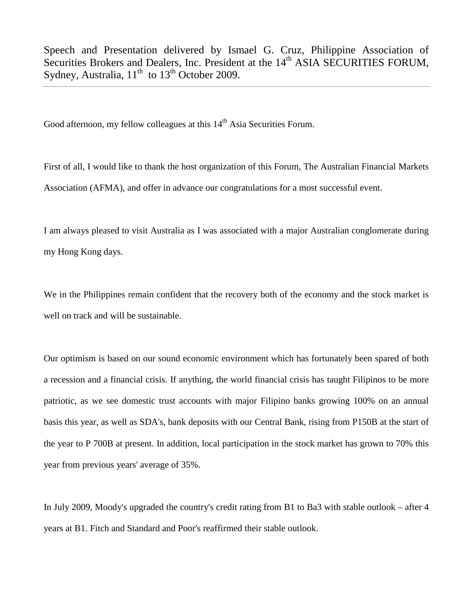Speech and Presentation delivered by Ismael G. Cruz, Philippine Association of Securities Brokers and Dealers, Inc. President at the 14<sup>th</sup> ASIA SECURITIES FORUM, Sydney, Australia,  $11<sup>th</sup>$  to  $13<sup>th</sup>$  October 2009.

Good afternoon, my fellow colleagues at this 14<sup>th</sup> Asia Securities Forum.

First of all, I would like to thank the host organization of this Forum, The Australian Financial Markets Association (AFMA), and offer in advance our congratulations for a most successful event.

I am always pleased to visit Australia as I was associated with a major Australian conglomerate during my Hong Kong days.

We in the Philippines remain confident that the recovery both of the economy and the stock market is well on track and will be sustainable.

Our optimism is based on our sound economic environment which has fortunately been spared of both a recession and a financial crisis. If anything, the world financial crisis has taught Filipinos to be more patriotic, as we see domestic trust accounts with major Filipino banks growing 100% on an annual basis this year, as well as SDA's, bank deposits with our Central Bank, rising from P150B at the start of the year to P 700B at present. In addition, local participation in the stock market has grown to 70% this year from previous years' average of 35%.

In July 2009, Moody's upgraded the country's credit rating from B1 to Ba3 with stable outlook – after 4 years at B1. Fitch and Standard and Poor's reaffirmed their stable outlook.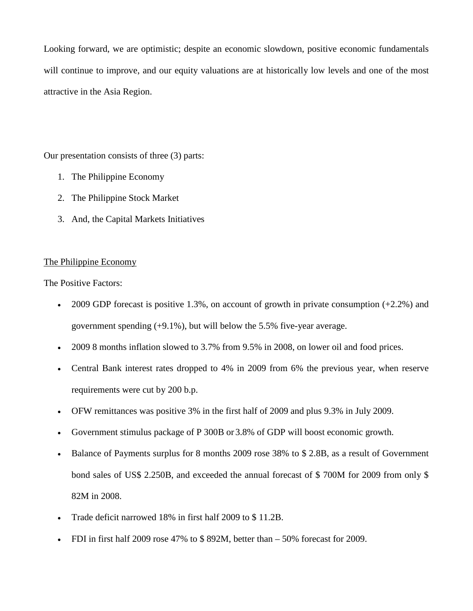Looking forward, we are optimistic; despite an economic slowdown, positive economic fundamentals will continue to improve, and our equity valuations are at historically low levels and one of the most attractive in the Asia Region.

Our presentation consists of three (3) parts:

- 1. The Philippine Economy
- 2. The Philippine Stock Market
- 3. And, the Capital Markets Initiatives

# The Philippine Economy

The Positive Factors:

- 2009 GDP forecast is positive 1.3%, on account of growth in private consumption  $(+2.2%)$  and government spending (+9.1%), but will below the 5.5% five-year average.
- 2009 8 months inflation slowed to 3.7% from 9.5% in 2008, on lower oil and food prices.
- Central Bank interest rates dropped to 4% in 2009 from 6% the previous year, when reserve requirements were cut by 200 b.p.
- OFW remittances was positive 3% in the first half of 2009 and plus 9.3% in July 2009.
- Government stimulus package of P 300B or 3.8% of GDP will boost economic growth.
- Balance of Payments surplus for 8 months 2009 rose 38% to \$2.8B, as a result of Government bond sales of US\$ 2.250B, and exceeded the annual forecast of \$ 700M for 2009 from only \$ 82M in 2008.
- Trade deficit narrowed 18% in first half 2009 to \$ 11.2B.
- FDI in first half 2009 rose 47% to  $$892M$ , better than  $-50\%$  forecast for 2009.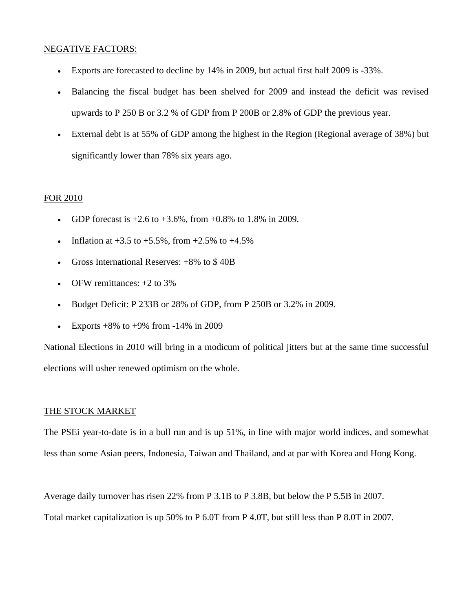# NEGATIVE FACTORS:

- Exports are forecasted to decline by 14% in 2009, but actual first half 2009 is -33%.
- Balancing the fiscal budget has been shelved for 2009 and instead the deficit was revised upwards to P 250 B or 3.2 % of GDP from P 200B or 2.8% of GDP the previous year.
- External debt is at 55% of GDP among the highest in the Region (Regional average of 38%) but significantly lower than 78% six years ago.

#### FOR 2010

- GDP forecast is  $+2.6$  to  $+3.6$ %, from  $+0.8$ % to 1.8% in 2009.
- Inflation at  $+3.5$  to  $+5.5\%$ , from  $+2.5\%$  to  $+4.5\%$
- Gross International Reserves:  $+8\%$  to \$40B
- OFW remittances:  $+2$  to 3%
- Budget Deficit: P 233B or 28% of GDP, from P 250B or 3.2% in 2009.
- Exports  $+8\%$  to  $+9\%$  from  $-14\%$  in 2009

National Elections in 2010 will bring in a modicum of political jitters but at the same time successful elections will usher renewed optimism on the whole.

### THE STOCK MARKET

The PSEi year-to-date is in a bull run and is up 51%, in line with major world indices, and somewhat less than some Asian peers, Indonesia, Taiwan and Thailand, and at par with Korea and Hong Kong.

Average daily turnover has risen 22% from P 3.1B to P 3.8B, but below the P 5.5B in 2007.

Total market capitalization is up 50% to P 6.0T from P 4.0T, but still less than P 8.0T in 2007.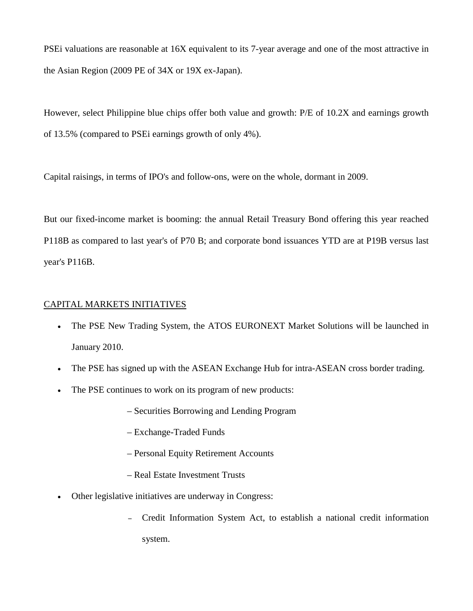PSEi valuations are reasonable at 16X equivalent to its 7-year average and one of the most attractive in the Asian Region (2009 PE of 34X or 19X ex-Japan).

However, select Philippine blue chips offer both value and growth: P/E of 10.2X and earnings growth of 13.5% (compared to PSEi earnings growth of only 4%).

Capital raisings, in terms of IPO's and follow-ons, were on the whole, dormant in 2009.

But our fixed-income market is booming: the annual Retail Treasury Bond offering this year reached P118B as compared to last year's of P70 B; and corporate bond issuances YTD are at P19B versus last year's P116B.

### CAPITAL MARKETS INITIATIVES

- The PSE New Trading System, the ATOS EURONEXT Market Solutions will be launched in January 2010.
- The PSE has signed up with the ASEAN Exchange Hub for intra-ASEAN cross border trading.
- The PSE continues to work on its program of new products:
	- Securities Borrowing and Lending Program
	- Exchange-Traded Funds
	- Personal Equity Retirement Accounts
	- Real Estate Investment Trusts
- Other legislative initiatives are underway in Congress:
	- Credit Information System Act, to establish a national credit information system.